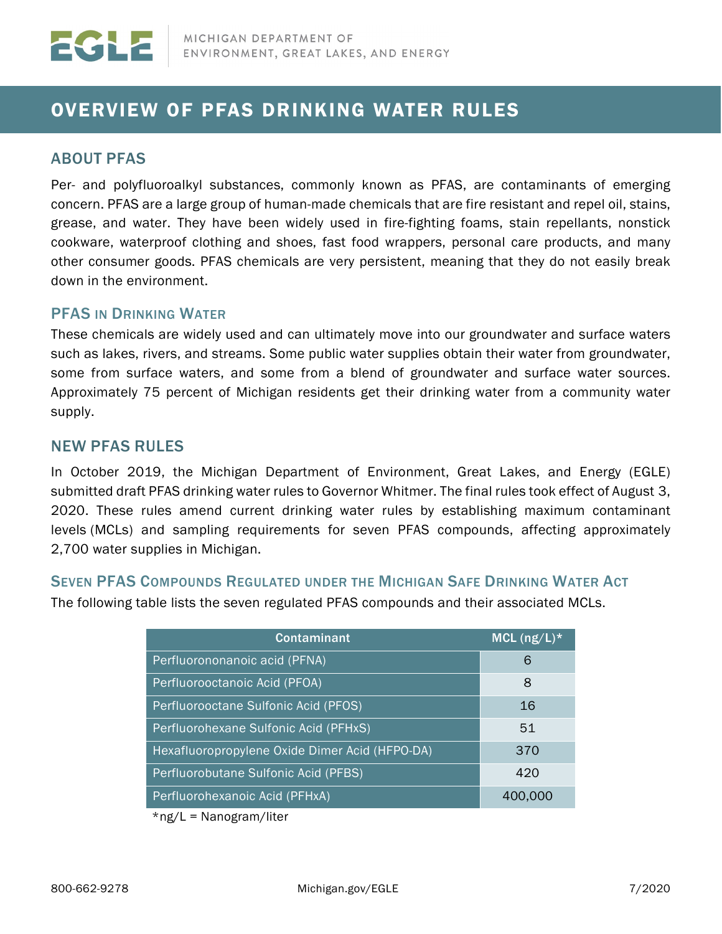# OVERVIEW OF PFAS DRINKING WATER RULES

# ABOUT PFAS

Per- and polyfluoroalkyl substances, commonly known as PFAS, are contaminants of emerging concern. PFAS are a large group of human-made chemicals that are fire resistant and repel oil, stains, grease, and water. They have been widely used in fire-fighting foams, stain repellants, nonstick cookware, waterproof clothing and shoes, fast food wrappers, personal care products, and many other consumer goods. PFAS chemicals are very persistent, meaning that they do not easily break down in the environment.

## PFAS IN DRINKING WATER

These chemicals are widely used and can ultimately move into our groundwater and surface waters such as lakes, rivers, and streams. Some public water supplies obtain their water from groundwater, some from surface waters, and some from a blend of groundwater and surface water sources. Approximately 75 percent of Michigan residents get their drinking water from a community water supply.

## NEW PFAS RULES

In October 2019, the Michigan Department of Environment, Great Lakes, and Energy (EGLE) submitted draft PFAS drinking water rules to Governor Whitmer. The final rules took effect of August 3, 2020. These rules amend current drinking water rules by establishing maximum contaminant levels (MCLs) and sampling requirements for seven PFAS compounds, affecting approximately 2,700 water supplies in Michigan.

#### SEVEN PFAS COMPOUNDS REGULATED UNDER THE MICHIGAN SAFE DRINKING WATER ACT

The following table lists the seven regulated PFAS compounds and their associated MCLs.

| <b>Contaminant</b>                             | MCL $(ng/L)^*$ |
|------------------------------------------------|----------------|
| Perfluorononanoic acid (PFNA)                  | 6              |
| Perfluorooctanoic Acid (PFOA)                  | 8              |
| Perfluorooctane Sulfonic Acid (PFOS)           | 16             |
| Perfluorohexane Sulfonic Acid (PFHxS)          | 51             |
| Hexafluoropropylene Oxide Dimer Acid (HFPO-DA) | 370            |
| Perfluorobutane Sulfonic Acid (PFBS)           | 420            |
| Perfluorohexanoic Acid (PFHxA)                 | 400,000        |

\*ng/L = Nanogram/liter